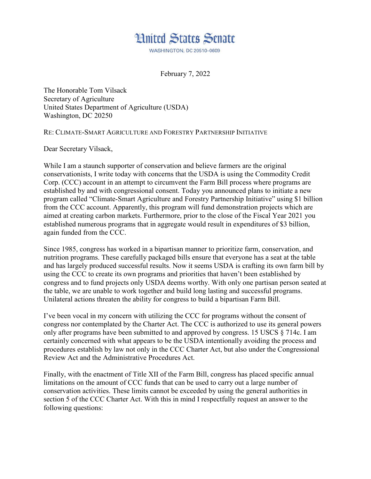## **Hnited States Senate**

**WASHINGTON, DC 20510-0609** 

February 7, 2022

The Honorable Tom Vilsack Secretary of Agriculture United States Department of Agriculture (USDA) Washington, DC 20250

RE: CLIMATE-SMART AGRICULTURE AND FORESTRY PARTNERSHIP INITIATIVE

Dear Secretary Vilsack,

While I am a staunch supporter of conservation and believe farmers are the original conservationists, I write today with concerns that the USDA is using the Commodity Credit Corp. (CCC) account in an attempt to circumvent the Farm Bill process where programs are established by and with congressional consent. Today you announced plans to initiate a new program called "Climate-Smart Agriculture and Forestry Partnership Initiative" using \$1 billion from the CCC account. Apparently, this program will fund demonstration projects which are aimed at creating carbon markets. Furthermore, prior to the close of the Fiscal Year 2021 you established numerous programs that in aggregate would result in expenditures of \$3 billion, again funded from the CCC.

Since 1985, congress has worked in a bipartisan manner to prioritize farm, conservation, and nutrition programs. These carefully packaged bills ensure that everyone has a seat at the table and has largely produced successful results. Now it seems USDA is crafting its own farm bill by using the CCC to create its own programs and priorities that haven't been established by congress and to fund projects only USDA deems worthy. With only one partisan person seated at the table, we are unable to work together and build long lasting and successful programs. Unilateral actions threaten the ability for congress to build a bipartisan Farm Bill.

I've been vocal in my concern with utilizing the CCC for programs without the consent of congress nor contemplated by the Charter Act. The CCC is authorized to use its general powers only after programs have been submitted to and approved by congress. 15 USCS § 714c. I am certainly concerned with what appears to be the USDA intentionally avoiding the process and procedures establish by law not only in the CCC Charter Act, but also under the Congressional Review Act and the Administrative Procedures Act.

Finally, with the enactment of Title XII of the Farm Bill, congress has placed specific annual limitations on the amount of CCC funds that can be used to carry out a large number of conservation activities. These limits cannot be exceeded by using the general authorities in section 5 of the CCC Charter Act. With this in mind I respectfully request an answer to the following questions: